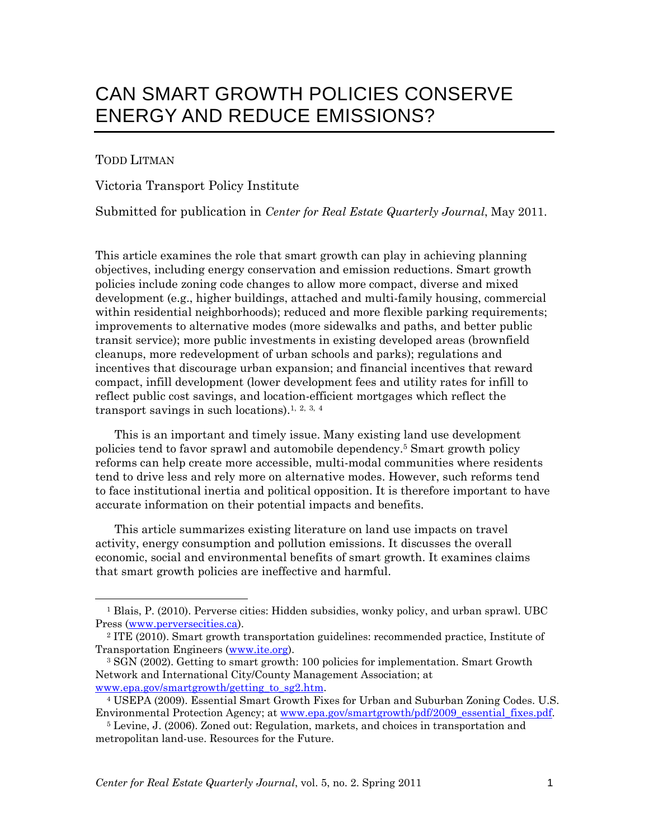# CAN SMART GROWTH POLICIES CONSERVE ENERGY AND REDUCE EMISSIONS?

#### TODD LITMAN

Victoria Transport Policy Institute

Submitted for publication in *Center for Real Estate Quarterly Journal*, May 2011.

This article examines the role that smart growth can play in achieving planning objectives, including energy conservation and emission reductions. Smart growth policies include zoning code changes to allow more compact, diverse and mixed development (e.g., higher buildings, attached and multi-family housing, commercial within residential neighborhoods); reduced and more flexible parking requirements; improvements to alternative modes (more sidewalks and paths, and better public transit service); more public investments in existing developed areas (brownfield cleanups, more redevelopment of urban schools and parks); regulations and incentives that discourage urban expansion; and financial incentives that reward compact, infill development (lower development fees and utility rates for infill to reflect public cost savings, and location-efficient mortgages which reflect the transport savings in such locations).<sup>1, 2, 3, 4</sup>

This is an important and timely issue. Many existing land use development policies tend to favor sprawl and automobile dependency.5 Smart growth policy reforms can help create more accessible, multi-modal communities where residents tend to drive less and rely more on alternative modes. However, such reforms tend to face institutional inertia and political opposition. It is therefore important to have accurate information on their potential impacts and benefits.

This article summarizes existing literature on land use impacts on travel activity, energy consumption and pollution emissions. It discusses the overall economic, social and environmental benefits of smart growth. It examines claims that smart growth policies are ineffective and harmful.

<sup>&</sup>lt;sup>1</sup> Blais, P. (2010). Perverse cities: Hidden subsidies, wonky policy, and urban sprawl. UBC Press (www.perversecities.ca). 2 ITE (2010). Smart growth transportation guidelines: recommended practice, Institute of

Transportation Engineers (www.ite.org).

<sup>3</sup> SGN (2002). Getting to smart growth: 100 policies for implementation. Smart Growth Network and International City/County Management Association; at www.epa.gov/smartgrowth/getting\_to\_sg2.htm. 4 USEPA (2009). Essential Smart Growth Fixes for Urban and Suburban Zoning Codes. U.S.

Environmental Protection Agency; at www.epa.gov/smartgrowth/pdf/2009\_essential\_fixes.pdf. 5 Levine, J. (2006). Zoned out: Regulation, markets, and choices in transportation and

metropolitan land-use. Resources for the Future.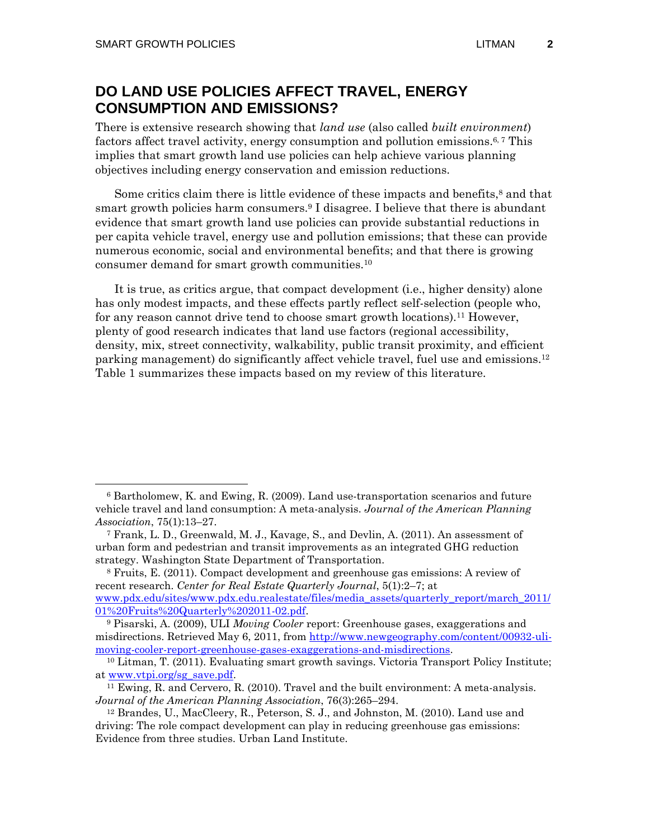### **DO LAND USE POLICIES AFFECT TRAVEL, ENERGY CONSUMPTION AND EMISSIONS?**

There is extensive research showing that *land use* (also called *built environment*) factors affect travel activity, energy consumption and pollution emissions.6, 7 This implies that smart growth land use policies can help achieve various planning objectives including energy conservation and emission reductions.

Some critics claim there is little evidence of these impacts and benefits,<sup>8</sup> and that smart growth policies harm consumers.9 I disagree. I believe that there is abundant evidence that smart growth land use policies can provide substantial reductions in per capita vehicle travel, energy use and pollution emissions; that these can provide numerous economic, social and environmental benefits; and that there is growing consumer demand for smart growth communities.10

It is true, as critics argue, that compact development (i.e., higher density) alone has only modest impacts, and these effects partly reflect self-selection (people who, for any reason cannot drive tend to choose smart growth locations).11 However, plenty of good research indicates that land use factors (regional accessibility, density, mix, street connectivity, walkability, public transit proximity, and efficient parking management) do significantly affect vehicle travel, fuel use and emissions.12 Table 1 summarizes these impacts based on my review of this literature.

 <sup>6</sup> Bartholomew, K. and Ewing, R. (2009). Land use-transportation scenarios and future vehicle travel and land consumption: A meta-analysis. *Journal of the American Planning Association*, 75(1):13–27.

<sup>7</sup> Frank, L. D., Greenwald, M. J., Kavage, S., and Devlin, A. (2011). An assessment of urban form and pedestrian and transit improvements as an integrated GHG reduction strategy. Washington State Department of Transportation.

<sup>8</sup> Fruits, E. (2011). Compact development and greenhouse gas emissions: A review of recent research. *Center for Real Estate Quarterly Journal*, 5(1):2–7; at

www.pdx.edu/sites/www.pdx.edu.realestate/files/media\_assets/quarterly\_report/march\_2011/ 01%20Fruits%20Quarterly%202011-02.pdf. 9 Pisarski, A. (2009), ULI *Moving Cooler* report: Greenhouse gases, exaggerations and

misdirections. Retrieved May 6, 2011, from http://www.newgeography.com/content/00932-ulimoving-cooler-report-greenhouse-gases-exaggerations-and-misdirections.<br><sup>10</sup> Litman, T. (2011). Evaluating smart growth savings. Victoria Transport Policy Institute;

at www.vtpi.org/sg\_save.pdf. 11 Ewing, R. and Cervero, R. (2010). Travel and the built environment: A meta-analysis.

*Journal of the American Planning Association*, 76(3):265–294. 12 Brandes, U., MacCleery, R., Peterson, S. J., and Johnston, M. (2010). Land use and

driving: The role compact development can play in reducing greenhouse gas emissions: Evidence from three studies. Urban Land Institute.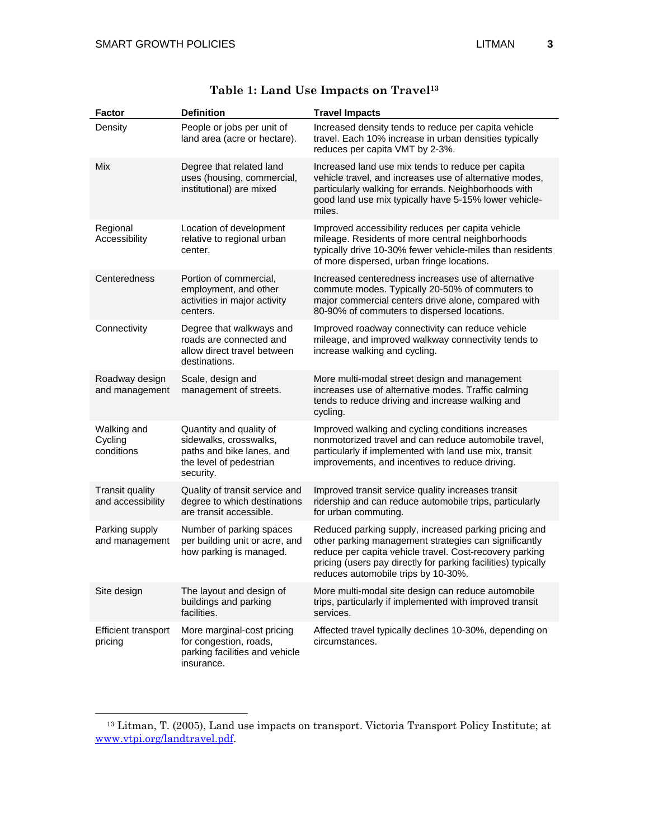|  | <b>Factor</b>                               | <b>Definition</b>                                                                                                      | <b>Travel Impacts</b>                                                                                                                                                                                                                                                             |
|--|---------------------------------------------|------------------------------------------------------------------------------------------------------------------------|-----------------------------------------------------------------------------------------------------------------------------------------------------------------------------------------------------------------------------------------------------------------------------------|
|  | Density                                     | People or jobs per unit of<br>land area (acre or hectare).                                                             | Increased density tends to reduce per capita vehicle<br>travel. Each 10% increase in urban densities typically<br>reduces per capita VMT by 2-3%.                                                                                                                                 |
|  | Mix                                         | Degree that related land<br>uses (housing, commercial,<br>institutional) are mixed                                     | Increased land use mix tends to reduce per capita<br>vehicle travel, and increases use of alternative modes,<br>particularly walking for errands. Neighborhoods with<br>good land use mix typically have 5-15% lower vehicle-<br>miles.                                           |
|  | Regional<br>Accessibility                   | Location of development<br>relative to regional urban<br>center.                                                       | Improved accessibility reduces per capita vehicle<br>mileage. Residents of more central neighborhoods<br>typically drive 10-30% fewer vehicle-miles than residents<br>of more dispersed, urban fringe locations.                                                                  |
|  | Centeredness                                | Portion of commercial,<br>employment, and other<br>activities in major activity<br>centers.                            | Increased centeredness increases use of alternative<br>commute modes. Typically 20-50% of commuters to<br>major commercial centers drive alone, compared with<br>80-90% of commuters to dispersed locations.                                                                      |
|  | Connectivity                                | Degree that walkways and<br>roads are connected and<br>allow direct travel between<br>destinations.                    | Improved roadway connectivity can reduce vehicle<br>mileage, and improved walkway connectivity tends to<br>increase walking and cycling.                                                                                                                                          |
|  | Roadway design<br>and management            | Scale, design and<br>management of streets.                                                                            | More multi-modal street design and management<br>increases use of alternative modes. Traffic calming<br>tends to reduce driving and increase walking and<br>cycling.                                                                                                              |
|  | Walking and<br>Cycling<br>conditions        | Quantity and quality of<br>sidewalks, crosswalks,<br>paths and bike lanes, and<br>the level of pedestrian<br>security. | Improved walking and cycling conditions increases<br>nonmotorized travel and can reduce automobile travel,<br>particularly if implemented with land use mix, transit<br>improvements, and incentives to reduce driving.                                                           |
|  | <b>Transit quality</b><br>and accessibility | Quality of transit service and<br>degree to which destinations<br>are transit accessible.                              | Improved transit service quality increases transit<br>ridership and can reduce automobile trips, particularly<br>for urban commuting.                                                                                                                                             |
|  | Parking supply<br>and management            | Number of parking spaces<br>per building unit or acre, and<br>how parking is managed.                                  | Reduced parking supply, increased parking pricing and<br>other parking management strategies can significantly<br>reduce per capita vehicle travel. Cost-recovery parking<br>pricing (users pay directly for parking facilities) typically<br>reduces automobile trips by 10-30%. |
|  | Site design                                 | The layout and design of<br>buildings and parking<br>facilities.                                                       | More multi-modal site design can reduce automobile<br>trips, particularly if implemented with improved transit<br>services.                                                                                                                                                       |
|  | <b>Efficient transport</b><br>pricing       | More marginal-cost pricing<br>for congestion, roads,<br>parking facilities and vehicle<br>insurance.                   | Affected travel typically declines 10-30%, depending on<br>circumstances.                                                                                                                                                                                                         |

# **Table 1: Land Use Impacts on Travel13**

 <sup>13</sup> Litman, T. (2005), Land use impacts on transport. Victoria Transport Policy Institute; at www.vtpi.org/landtravel.pdf.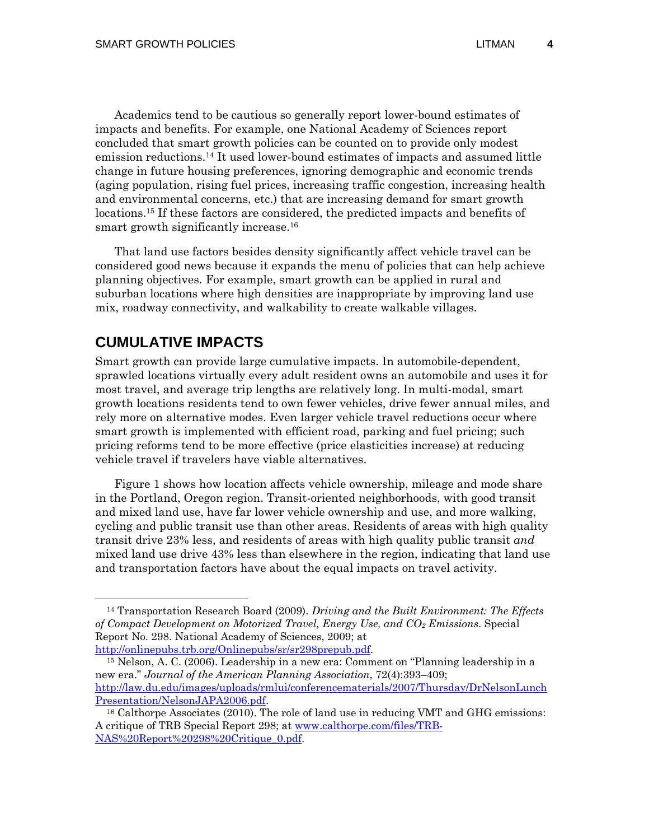Academics tend to be cautious so generally report lower-bound estimates of impacts and benefits. For example, one National Academy of Sciences report concluded that smart growth policies can be counted on to provide only modest emission reductions.14 It used lower-bound estimates of impacts and assumed little change in future housing preferences, ignoring demographic and economic trends (aging population, rising fuel prices, increasing traffic congestion, increasing health and environmental concerns, etc.) that are increasing demand for smart growth locations.15 If these factors are considered, the predicted impacts and benefits of smart growth significantly increase.<sup>16</sup>

That land use factors besides density significantly affect vehicle travel can be considered good news because it expands the menu of policies that can help achieve planning objectives. For example, smart growth can be applied in rural and suburban locations where high densities are inappropriate by improving land use mix, roadway connectivity, and walkability to create walkable villages.

### **CUMULATIVE IMPACTS**

Smart growth can provide large cumulative impacts. In automobile-dependent, sprawled locations virtually every adult resident owns an automobile and uses it for most travel, and average trip lengths are relatively long. In multi-modal, smart growth locations residents tend to own fewer vehicles, drive fewer annual miles, and rely more on alternative modes. Even larger vehicle travel reductions occur where smart growth is implemented with efficient road, parking and fuel pricing; such pricing reforms tend to be more effective (price elasticities increase) at reducing vehicle travel if travelers have viable alternatives.

Figure 1 shows how location affects vehicle ownership, mileage and mode share in the Portland, Oregon region. Transit-oriented neighborhoods, with good transit and mixed land use, have far lower vehicle ownership and use, and more walking, cycling and public transit use than other areas. Residents of areas with high quality transit drive 23% less, and residents of areas with high quality public transit *and*  mixed land use drive 43% less than elsewhere in the region, indicating that land use and transportation factors have about the equal impacts on travel activity.

http://onlinepubs.trb.org/Onlinepubs/sr/sr298prepub.pdf. 15 Nelson, A. C. (2006). Leadership in a new era: Comment on "Planning leadership in a new era." *Journal of the American Planning Association*, 72(4):393–409; http://law.du.edu/images/uploads/rmlui/conferencematerials/2007/Thursday/DrNelsonLunch Presentation/NelsonJAPA2006.pdf.<br><sup>16</sup> Calthorpe Associates (2010). The role of land use in reducing VMT and GHG emissions:

 <sup>14</sup> Transportation Research Board (2009). *Driving and the Built Environment: The Effects of Compact Development on Motorized Travel, Energy Use, and CO2 Emissions*. Special Report No. 298. National Academy of Sciences, 2009; at

A critique of TRB Special Report 298; at www.calthorpe.com/files/TRB-NAS%20Report%20298%20Critique\_0.pdf.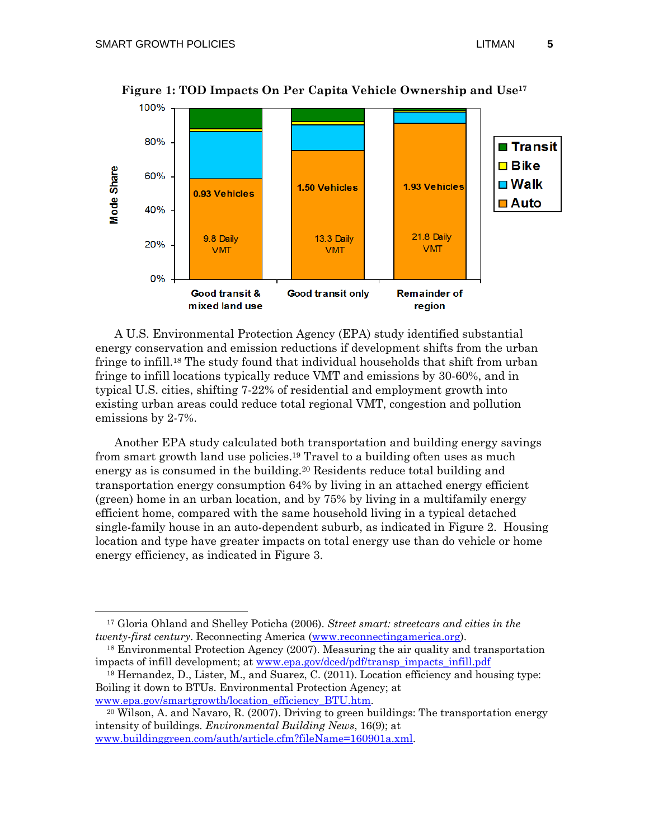

**Figure 1: TOD Impacts On Per Capita Vehicle Ownership and Use17**

A U.S. Environmental Protection Agency (EPA) study identified substantial energy conservation and emission reductions if development shifts from the urban fringe to infill.18 The study found that individual households that shift from urban fringe to infill locations typically reduce VMT and emissions by 30-60%, and in typical U.S. cities, shifting 7-22% of residential and employment growth into existing urban areas could reduce total regional VMT, congestion and pollution emissions by 2-7%.

Another EPA study calculated both transportation and building energy savings from smart growth land use policies.19 Travel to a building often uses as much energy as is consumed in the building.<sup>20</sup> Residents reduce total building and transportation energy consumption 64% by living in an attached energy efficient (green) home in an urban location, and by 75% by living in a multifamily energy efficient home, compared with the same household living in a typical detached single-family house in an auto-dependent suburb, as indicated in Figure 2. Housing location and type have greater impacts on total energy use than do vehicle or home energy efficiency, as indicated in Figure 3.

 <sup>17</sup> Gloria Ohland and Shelley Poticha (2006). *Street smart: streetcars and cities in the twenty-first century*. Reconnecting America (www.reconnectingamerica.org).

<sup>18</sup> Environmental Protection Agency (2007). Measuring the air quality and transportation impacts of infill development; at www.epa.gov/dced/pdf/transp\_impacts\_infill.pdf

<sup>19</sup> Hernandez, D., Lister, M., and Suarez, C. (2011). Location efficiency and housing type: Boiling it down to BTUs. Environmental Protection Agency; at

www.epa.gov/smartgrowth/location\_efficiency\_BTU.htm.<br><sup>20</sup> Wilson, A. and Navaro, R. (2007). Driving to green buildings: The transportation energy intensity of buildings. *Environmental Building News*, 16(9); at www.buildinggreen.com/auth/article.cfm?fileName=160901a.xml.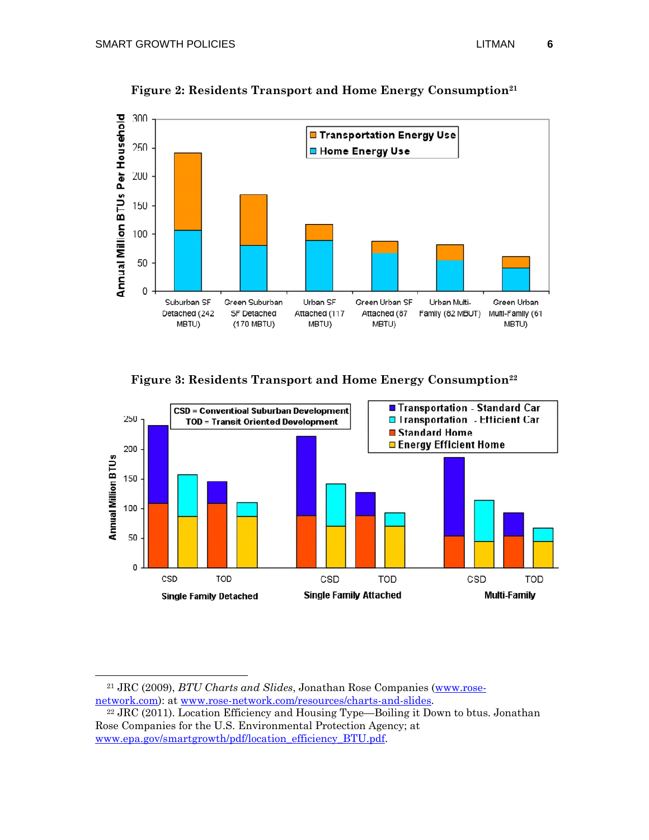

**Figure 2: Residents Transport and Home Energy Consumption21**

**Figure 3: Residents Transport and Home Energy Consumption22**



21 JRC (2009), *BTU Charts and Slides*, Jonathan Rose Companies (www.rose-

network.com): at www.rose-network.com/resources/charts-and-slides.<br><sup>22</sup> JRC (2011). Location Efficiency and Housing Type—Boiling it Down to btus. Jonathan Rose Companies for the U.S. Environmental Protection Agency; at www.epa.gov/smartgrowth/pdf/location\_efficiency\_BTU.pdf.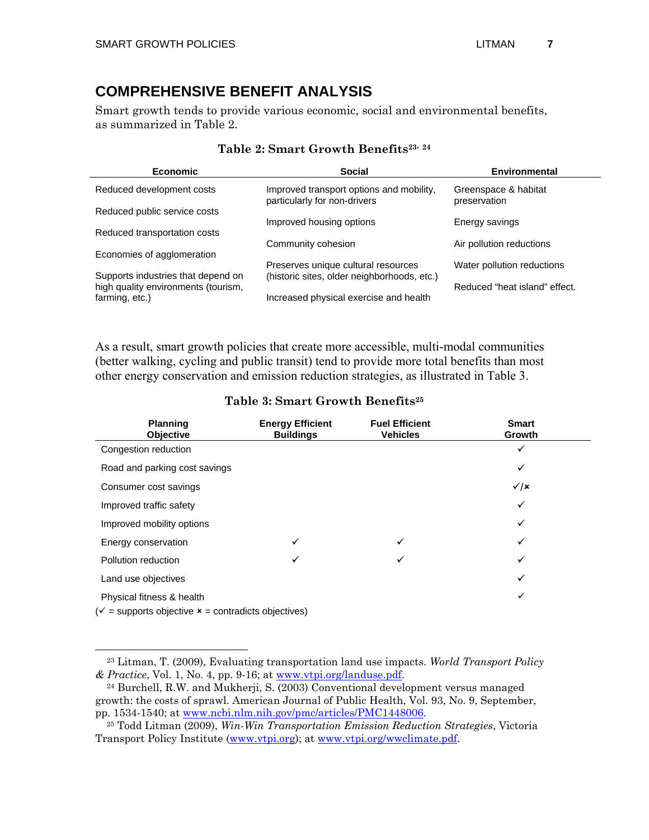$\overline{a}$ 

# **COMPREHENSIVE BENEFIT ANALYSIS**

Smart growth tends to provide various economic, social and environmental benefits, as summarized in Table 2.

| <b>Economic</b>                                                           | <b>Social</b>                                                            | <b>Environmental</b>                 |
|---------------------------------------------------------------------------|--------------------------------------------------------------------------|--------------------------------------|
| Reduced development costs                                                 | Improved transport options and mobility,<br>particularly for non-drivers | Greenspace & habitat<br>preservation |
| Reduced public service costs                                              |                                                                          |                                      |
|                                                                           | Improved housing options                                                 | Energy savings                       |
| Reduced transportation costs                                              | Community cohesion                                                       | Air pollution reductions             |
| Economies of agglomeration                                                |                                                                          |                                      |
|                                                                           | Preserves unique cultural resources                                      | Water pollution reductions           |
| Supports industries that depend on<br>high quality environments (tourism, | (historic sites, older neighborhoods, etc.)                              | Reduced "heat island" effect.        |
| farming, etc.)                                                            | Increased physical exercise and health                                   |                                      |

#### **Table 2: Smart Growth Benefits23, <sup>24</sup>**

As a result, smart growth policies that create more accessible, multi-modal communities (better walking, cycling and public transit) tend to provide more total benefits than most other energy conservation and emission reduction strategies, as illustrated in Table 3.

#### **Table 3: Smart Growth Benefits25**

| <b>Planning</b><br><b>Objective</b>                                                                     | <b>Energy Efficient</b><br><b>Buildings</b> | <b>Fuel Efficient</b><br><b>Vehicles</b> | <b>Smart</b><br>Growth  |
|---------------------------------------------------------------------------------------------------------|---------------------------------------------|------------------------------------------|-------------------------|
| Congestion reduction                                                                                    |                                             |                                          | ✓                       |
| Road and parking cost savings                                                                           |                                             |                                          | ✓                       |
| Consumer cost savings                                                                                   |                                             |                                          | $\checkmark$ / $\times$ |
| Improved traffic safety                                                                                 |                                             |                                          | ✓                       |
| Improved mobility options                                                                               |                                             |                                          | ✓                       |
| Energy conservation                                                                                     | ✓                                           | ✓                                        | ✓                       |
| Pollution reduction                                                                                     |                                             | ✓                                        | ✓                       |
| Land use objectives                                                                                     |                                             |                                          | ✓                       |
| Physical fitness & health<br>$(\checkmark)$ = supports objective $\checkmark$ = contradicts objectives) |                                             |                                          | ✓                       |

 <sup>23</sup> Litman, T. (2009), Evaluating transportation land use impacts. *World Transport Policy & Practice*, Vol. 1, No. 4, pp. 9-16; at www.vtpi.org/landuse.pdf. 24 Burchell, R.W. and Mukherji, S. (2003) Conventional development versus managed

growth: the costs of sprawl. American Journal of Public Health, Vol. 93, No. 9, September, pp. 1534-1540; at www.ncbi.nlm.nih.gov/pmc/articles/PMC1448006. 25 Todd Litman (2009), *Win-Win Transportation Emission Reduction Strategies*, Victoria

Transport Policy Institute (www.vtpi.org); at www.vtpi.org/wwclimate.pdf.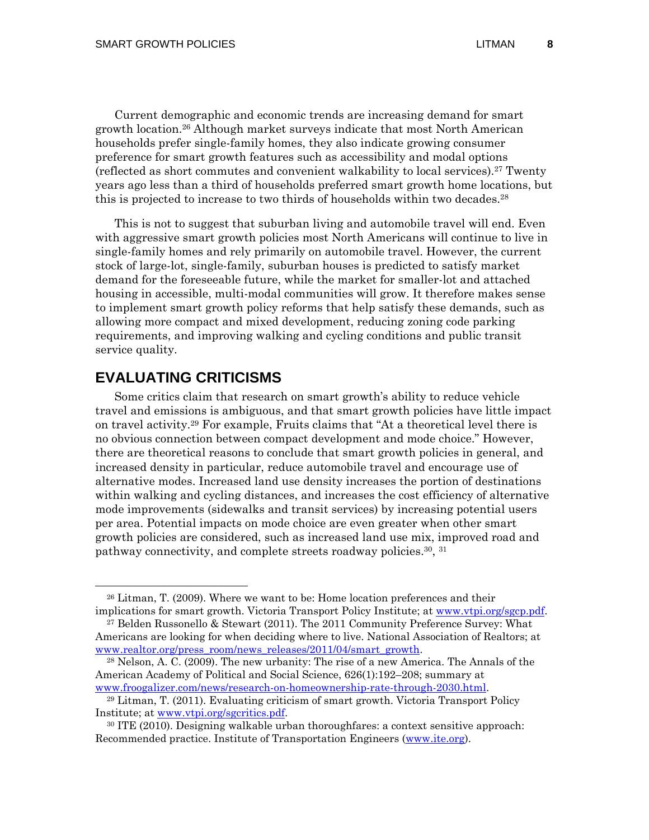Current demographic and economic trends are increasing demand for smart growth location.26 Although market surveys indicate that most North American households prefer single-family homes, they also indicate growing consumer preference for smart growth features such as accessibility and modal options (reflected as short commutes and convenient walkability to local services).27 Twenty years ago less than a third of households preferred smart growth home locations, but this is projected to increase to two thirds of households within two decades.<sup>28</sup>

This is not to suggest that suburban living and automobile travel will end. Even with aggressive smart growth policies most North Americans will continue to live in single-family homes and rely primarily on automobile travel. However, the current stock of large-lot, single-family, suburban houses is predicted to satisfy market demand for the foreseeable future, while the market for smaller-lot and attached housing in accessible, multi-modal communities will grow. It therefore makes sense to implement smart growth policy reforms that help satisfy these demands, such as allowing more compact and mixed development, reducing zoning code parking requirements, and improving walking and cycling conditions and public transit service quality.

### **EVALUATING CRITICISMS**

Some critics claim that research on smart growth's ability to reduce vehicle travel and emissions is ambiguous, and that smart growth policies have little impact on travel activity.29 For example, Fruits claims that "At a theoretical level there is no obvious connection between compact development and mode choice." However, there are theoretical reasons to conclude that smart growth policies in general, and increased density in particular, reduce automobile travel and encourage use of alternative modes. Increased land use density increases the portion of destinations within walking and cycling distances, and increases the cost efficiency of alternative mode improvements (sidewalks and transit services) by increasing potential users per area. Potential impacts on mode choice are even greater when other smart growth policies are considered, such as increased land use mix, improved road and pathway connectivity, and complete streets roadway policies.30, 31

 <sup>26</sup> Litman, T. (2009). Where we want to be: Home location preferences and their implications for smart growth. Victoria Transport Policy Institute; at www.vtpi.org/sgcp.pdf.

<sup>27</sup> Belden Russonello & Stewart (2011). The 2011 Community Preference Survey: What Americans are looking for when deciding where to live. National Association of Realtors; at

www.realtor.org/press\_room/news\_releases/2011/04/smart\_growth.<br><sup>28</sup> Nelson, A. C. (2009). The new urbanity: The rise of a new America. The Annals of the American Academy of Political and Social Science, 626(1):192–208; summary at

www.froogalizer.com/news/research-on-homeownership-rate-through-2030.html. 29 Litman, T. (2011). Evaluating criticism of smart growth. Victoria Transport Policy Institute; at <u>www.vtpi.org/sgcritics.pdf</u>.<br><sup>30</sup> ITE (2010). Designing walkable urban thoroughfares: a context sensitive approach:

Recommended practice. Institute of Transportation Engineers (www.ite.org).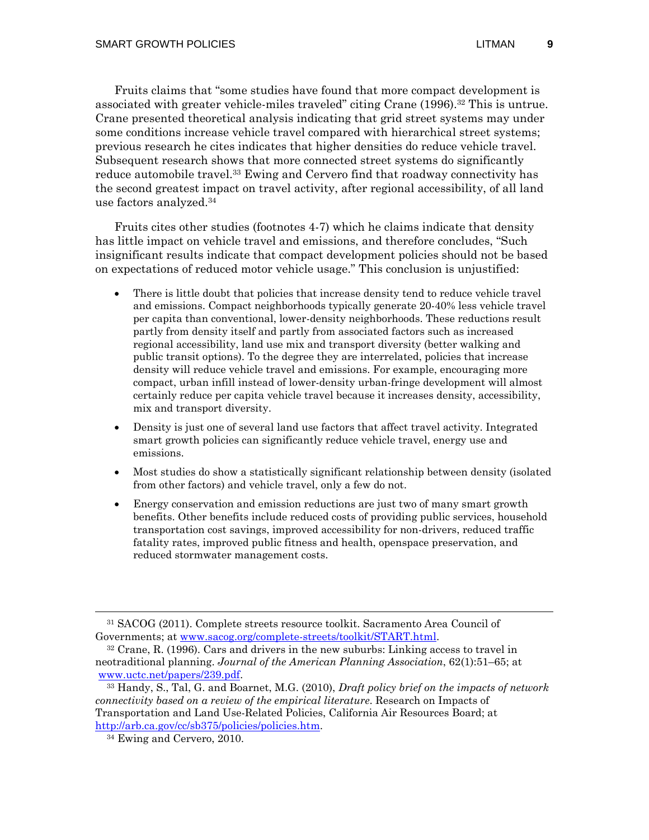Fruits claims that "some studies have found that more compact development is associated with greater vehicle-miles traveled" citing Crane (1996).32 This is untrue. Crane presented theoretical analysis indicating that grid street systems may under some conditions increase vehicle travel compared with hierarchical street systems; previous research he cites indicates that higher densities do reduce vehicle travel. Subsequent research shows that more connected street systems do significantly reduce automobile travel.<sup>33</sup> Ewing and Cervero find that roadway connectivity has the second greatest impact on travel activity, after regional accessibility, of all land use factors analyzed.34

Fruits cites other studies (footnotes 4-7) which he claims indicate that density has little impact on vehicle travel and emissions, and therefore concludes, "Such insignificant results indicate that compact development policies should not be based on expectations of reduced motor vehicle usage." This conclusion is unjustified:

- There is little doubt that policies that increase density tend to reduce vehicle travel and emissions. Compact neighborhoods typically generate 20-40% less vehicle travel per capita than conventional, lower-density neighborhoods. These reductions result partly from density itself and partly from associated factors such as increased regional accessibility, land use mix and transport diversity (better walking and public transit options). To the degree they are interrelated, policies that increase density will reduce vehicle travel and emissions. For example, encouraging more compact, urban infill instead of lower-density urban-fringe development will almost certainly reduce per capita vehicle travel because it increases density, accessibility, mix and transport diversity.
- Density is just one of several land use factors that affect travel activity. Integrated smart growth policies can significantly reduce vehicle travel, energy use and emissions.
- Most studies do show a statistically significant relationship between density (isolated from other factors) and vehicle travel, only a few do not.
- Energy conservation and emission reductions are just two of many smart growth benefits. Other benefits include reduced costs of providing public services, household transportation cost savings, improved accessibility for non-drivers, reduced traffic fatality rates, improved public fitness and health, openspace preservation, and reduced stormwater management costs.

 <sup>31</sup> SACOG (2011). Complete streets resource toolkit. Sacramento Area Council of Governments; at <u>www.sacog.org/complete-streets/toolkit/START.html</u>.<br><sup>32</sup> Crane, R. (1996). Cars and drivers in the new suburbs: Linking access to travel in

neotraditional planning. *Journal of the American Planning Association*, 62(1):51–65; at

www.uctc.net/papers/239.pdf. 33 Handy, S., Tal, G. and Boarnet, M.G. (2010), *Draft policy brief on the impacts of network connectivity based on a review of the empirical literature*. Research on Impacts of Transportation and Land Use-Related Policies, California Air Resources Board; at http://arb.ca.gov/cc/sb375/policies/policies.htm. 34 Ewing and Cervero, 2010.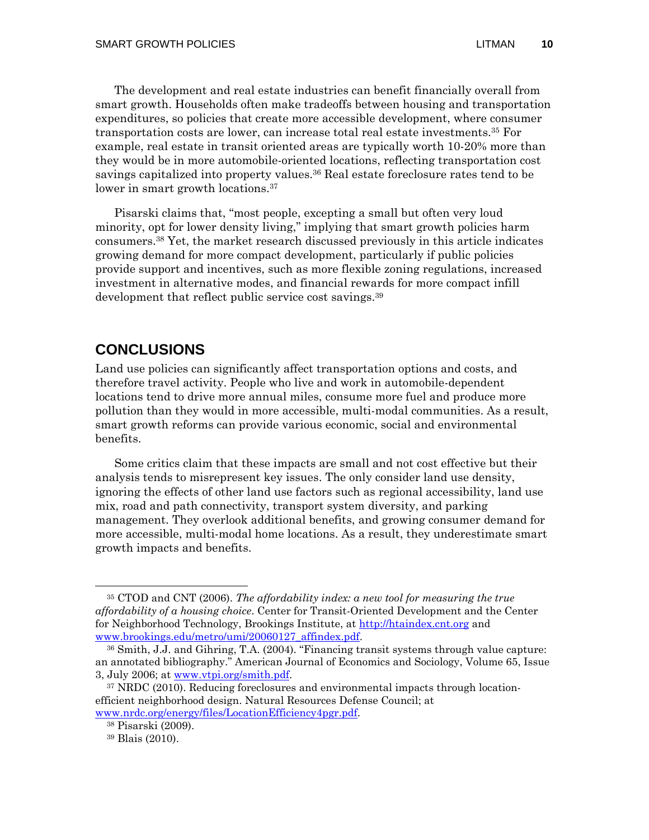The development and real estate industries can benefit financially overall from smart growth. Households often make tradeoffs between housing and transportation expenditures, so policies that create more accessible development, where consumer transportation costs are lower, can increase total real estate investments.35 For example, real estate in transit oriented areas are typically worth 10-20% more than they would be in more automobile-oriented locations, reflecting transportation cost savings capitalized into property values.<sup>36</sup> Real estate foreclosure rates tend to be lower in smart growth locations.<sup>37</sup>

Pisarski claims that, "most people, excepting a small but often very loud minority, opt for lower density living," implying that smart growth policies harm consumers.38 Yet, the market research discussed previously in this article indicates growing demand for more compact development, particularly if public policies provide support and incentives, such as more flexible zoning regulations, increased investment in alternative modes, and financial rewards for more compact infill development that reflect public service cost savings.<sup>39</sup>

# **CONCLUSIONS**

Land use policies can significantly affect transportation options and costs, and therefore travel activity. People who live and work in automobile-dependent locations tend to drive more annual miles, consume more fuel and produce more pollution than they would in more accessible, multi-modal communities. As a result, smart growth reforms can provide various economic, social and environmental benefits.

Some critics claim that these impacts are small and not cost effective but their analysis tends to misrepresent key issues. The only consider land use density, ignoring the effects of other land use factors such as regional accessibility, land use mix, road and path connectivity, transport system diversity, and parking management. They overlook additional benefits, and growing consumer demand for more accessible, multi-modal home locations. As a result, they underestimate smart growth impacts and benefits.

 <sup>35</sup> CTOD and CNT (2006). *The affordability index: a new tool for measuring the true affordability of a housing choice*. Center for Transit-Oriented Development and the Center for Neighborhood Technology, Brookings Institute, at http://htaindex.cnt.org and www.brookings.edu/metro/umi/20060127\_affindex.pdf.<br><sup>36</sup> Smith, J.J. and Gihring, T.A. (2004). "Financing transit systems through value capture:

an annotated bibliography." American Journal of Economics and Sociology, Volume 65, Issue 3, July 2006; at www.vtpi.org/smith.pdf.<br><sup>37</sup> NRDC (2010). Reducing foreclosures and environmental impacts through location-

efficient neighborhood design. Natural Resources Defense Council; at www.nrdc.org/energy/files/LocationEfficiency4pgr.pdf. 38 Pisarski (2009).

<sup>39</sup> Blais (2010).